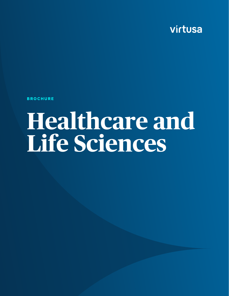virtusa

**BROCHURE**

# **Healthcare and Life Sciences**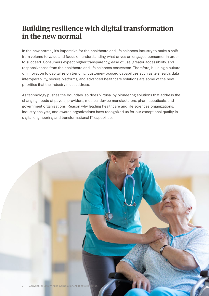## **Building resilience with digital transformation in the new normal**

In the new normal, it's imperative for the healthcare and life sciences industry to make a shift from volume to value and focus on understanding what drives an engaged consumer in order to succeed. Consumers expect higher transparency, ease of use, greater accessibility, and responsiveness from the healthcare and life sciences ecosystem. Therefore, building a culture of innovation to capitalize on trending, customer-focused capabilities such as telehealth, data interoperability, secure platforms, and advanced healthcare solutions are some of the new priorities that the industry must address.

As technology pushes the boundary, so does Virtusa, by pioneering solutions that address the changing needs of payers, providers, medical device manufacturers, pharmaceuticals, and government organizations. Reason why leading healthcare and life sciences organizations, industry analysts, and awards organizations have recognized us for our exceptional quality in digital engineering and transformational IT capabilities.

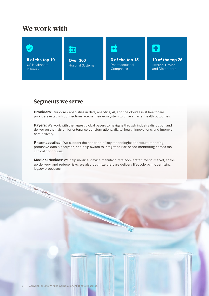## **We work with**



#### **Segments we serve**

**COLL TIME TO BE AND THE REAL PROPERTY** 

C. Contractor

**Providers:** Our core capabilities in data, analytics, AI, and the cloud assist healthcare providers establish connections across their ecosystem to drive smarter health outcomes.

**Payers:** We work with the largest global payers to navigate through industry disruption and deliver on their vision for enterprise transformations, digital health innovations, and improve care delivery.

**Pharmaceutical:** We support the adoption of key technologies for robust reporting, predictive data & analytics, and help switch to integrated risk-based monitoring across the clinical continuum.

**Medical devices:** We help medical device manufacturers accelerate time-to-market, scaleup delivery, and reduce risks. We also optimize the care delivery lifecycle by modernizing legacy processes.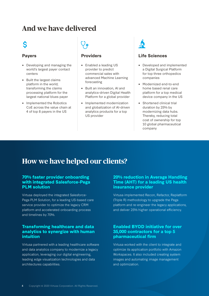## **And we have delivered**

## Ś

#### **Payers**

- Developing and managing the world's largest payer contact centers
- Built the largest claims platform in the world; transforming the claims processing platform for the largest national blues payer
- Implemented the Robotics CoE across the value chain at 4 of top 8 payers in the US

#### **Providers**

- Enabled a leading US provider to predict commercial sales with advanced Machine Learning forecasting
- Built an innovation, AI and analytics-driven Digital Health Platform for a global provider
- Implemented modernization and globalization of AI-driven analytics products for a top US provider



#### **Life Sciences**

- Developed and implemented a Digital Surgical Platform for top three orthopedics companies
- Modernized end-to-end home based renal care platform for a top medical device company in the US
- Shortened clinical trial duration by 25% by modernizing data hubs. Thereby, reducing total cost of ownership for top 10 global pharmaceutical company

## **How we have helped our clients?**

#### **[70% faster provider onboarding](https://www.virtusa.com/success-stories/faster-provider-onboarding-for-a-managed-care-services-provider-by-integrating-pega-plm-with-salesforce)  [with integrated Salesforce-Pega](https://www.virtusa.com/success-stories/faster-provider-onboarding-for-a-managed-care-services-provider-by-integrating-pega-plm-with-salesforce)  [PLM solution](https://www.virtusa.com/success-stories/faster-provider-onboarding-for-a-managed-care-services-provider-by-integrating-pega-plm-with-salesforce)**

Virtusa deployed the integrated Salesforce-Pega PLM Solution, for a leading US-based care service provider to optimize the legacy CRM platform and accelerated onboarding process and timelines by 70%.

#### **[Transforming healthcare and data](https://www.virtusa.com/success-stories/developing-a-leading-healthcare-analytics-application-focused-on-health-outcomes)  [analytics to synergize with human](https://www.virtusa.com/success-stories/developing-a-leading-healthcare-analytics-application-focused-on-health-outcomes)  [intuition](https://www.virtusa.com/success-stories/developing-a-leading-healthcare-analytics-application-focused-on-health-outcomes)**

Virtusa partnered with a leading healthcare software and data analytics company to modernize a legacy application, leveraging our digital engineering, leading edge visualization technologies and data architectures capabilities.

#### **[20% reduction in Average Handling](http://20% reduction in average handling time (AHT) for a leading US health insurance provider )  [Time \(AHT\) for a leading US health](http://20% reduction in average handling time (AHT) for a leading US health insurance provider )  [insurance provider](http://20% reduction in average handling time (AHT) for a leading US health insurance provider )**

Virtusa implemented Recon, Refactor, Replatform (Triple R) methodology to upgrade the Pega platform and re-engineer the legacy applications, and deliver 25% higher operational efficiency.

#### **[Enabled BYOD initiative for over](https://www.virtusa.com/success-stories/enabled-byod-initiative-for-top-5-pharmaceutical-firm)  [35,000 contractors for a top 5](https://www.virtusa.com/success-stories/enabled-byod-initiative-for-top-5-pharmaceutical-firm)  [pharmaceutical firm](https://www.virtusa.com/success-stories/enabled-byod-initiative-for-top-5-pharmaceutical-firm)**

Virtusa worked with the client to integrate and optimize its application portfolio with Amazon Workspaces. It also included creating system images and automating image management and optimization.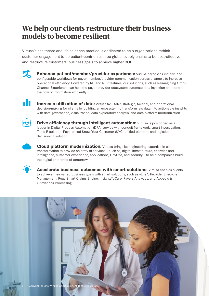## **We help our clients restructure their business models to become resilient**

Virtusa's healthcare and life sciences practice is dedicated to help organizations rethink customer engagement to be patient-centric, reshape global supply chains to be cost-effective, and restructure customers' business goals to achieve higher ROI.



**Enhance patient/member/provider experience:** Virtusa harnesses intuitive and configurable workflows for payer-member/provider communication across channels to increase operational efficiency. Powered by ML and NLP features, our solutions, such as Reimagining Omni-Channel Experience can help the payer-provider ecosystem automate data ingestion and control the flow of information efficiently.



**Increase utilization of data:** Virtusa facilitates strategic, tactical, and operational decision-making for clients by building an ecosystem to transform raw data into actionable insights with data governance, visualization, data exploratory analysis, and data platform modernization.



**Drive efficiency through intelligent automation:** Virtusa is positioned as a leader in Digital Process Automation (DPA) service with conduit framework, smart investigation, Triple R solution, Pega-based Know Your Customer (KYC) unified platform, and logistics decisioning solution.



**Cloud platform modernization:** Virtusa brings its engineering expertise in cloud transformation to provide an array of services – such as, digital infrastructure, analytics and intelligence, customer experience, applications, DevOps, and security – to help companies build the digital enterprise of tomorrow.



**Accelerate business outcomes with smart solutions:** Virtusa enables clients to achieve their varied business goals with smart solutions, such as vLife™, Provider Lifecycle Management, Pega Smart Claims Engine, InsightsToCare, Payers Analytics, and Appeals & Grievances Processing.

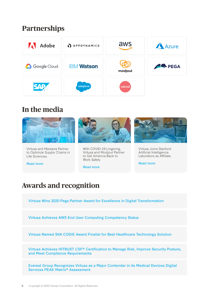## **Partnerships**



## **In the media**

[Virtusa and Mareana Partner](https://www.virtusa.com/news-room/press-releases/year_2020/may/Virtusa-Mareana-Life-Sciences)  [to Optimize Supply Chains in](https://www.virtusa.com/news-room/press-releases/year_2020/may/Virtusa-Mareana-Life-Sciences) 

[Life Sciences.](https://www.virtusa.com/news-room/press-releases/year_2020/may/Virtusa-Mareana-Life-Sciences)

*[Read more](https://www.virtusa.com/news-room/press-releases/year_2020/may/Virtusa-Mareana-Life-Sciences)*



[With COVID-19 Lingering,](https://www.virtusa.com/news-room/press-releases/year_2020/june/virtusa-modjoul-partner-to-get-america-back-to-work)  [Virtusa and Modjoul Partner](https://www.virtusa.com/news-room/press-releases/year_2020/june/virtusa-modjoul-partner-to-get-america-back-to-work)  [to Get America Back to](https://www.virtusa.com/news-room/press-releases/year_2020/june/virtusa-modjoul-partner-to-get-america-back-to-work)  [Work Safely.](https://www.virtusa.com/news-room/press-releases/year_2020/june/virtusa-modjoul-partner-to-get-america-back-to-work) 

*[Read more](https://www.virtusa.com/news-room/press-releases/year_2020/june/virtusa-modjoul-partner-to-get-america-back-to-work)*



[Virtusa Joins Stanford](https://www.virtusa.com/news-room/press-releases/year_2019/September/11540051884)  [Artificial Intelligence](https://www.virtusa.com/news-room/press-releases/year_2019/September/11540051884)  [Laboratory as Affiliate.](https://www.virtusa.com/news-room/press-releases/year_2019/September/11540051884) 

*[Read more](https://www.virtusa.com/news-room/press-releases/year_2019/September/11540051884)*

## **Awards and recognition**

[Virtusa Wins 2020 Pega Partner Award for Excellence in Digital Transformation](https://www.virtusa.com/news-room/press-releases/year_2020/june/Virtusa-Wins-2020-Pega-Partner-Award)

[Virtusa Achieves AWS End User Computing Competency Status](https://www.virtusa.com/news-room/press-releases/year_2020/july/virtusa-achieves-aws-end-user-computing-competency)

[Virtusa Named SIIA CODiE Award Finalist for Best Healthcare Technology Solution](https://www.virtusa.com/de/news-room/awards/year_2020/april/virtusa-named-siia-codie-award-finalist-for-best-healthcare-tech)

Virtusa Achieves HITRUST CSF® Certification to Manage Risk, Improve Security Posture, and Meet Compliance Requirements

[Everest Group Recognizes Virtusa as a Major Contender in its Medical Devices Digital](https://www.virtusa.com/de/news-room/in_the_media/year_2020/july/everest-group-recognizes-virtusa-as-major-contender-medical-devices-digital-services-peak-matrix-2020)  [Services PEAK Matrix® Assessment](https://www.virtusa.com/de/news-room/in_the_media/year_2020/july/everest-group-recognizes-virtusa-as-major-contender-medical-devices-digital-services-peak-matrix-2020)